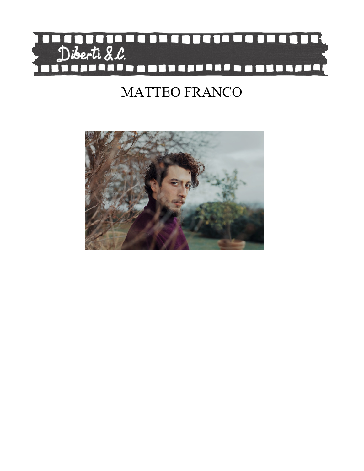

# **MATTEO FRANCO**

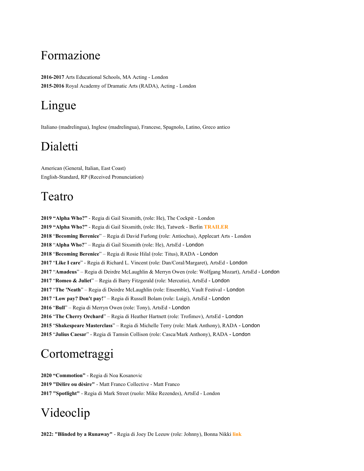### **Formazione**

**2016-2017 Arts Educational Schools, MA Acting - London 2015-2016 Royal Academy of Dramatic Arts (RADA), Acting - London**

# **Lingue**

**Italiano (madrelingua), Inglese (madrelingua), Francese, Spagnolo, Latino, Greco antico**

# **Dialetti**

**American (General, Italian, East Coast) English-Standard, RP (Received Pronunciation)**

### **Teatro**

 **"Alpha Who?" - Regia di Gail Sixsmith, (role: He), The Cockpit - London "Alpha Who?" - Regia di Gail Sixsmith, (role: He), Tatwerk - Berlin TRAILER "Becoming Berenice" – Regia di David Furlong (role: Antiochus), Applecart Arts - London "Alpha Who?" – Regia di Gail Sixsmith (role: He), ArtsEd - London "Becoming Berenice" – Regia di Rosie Hilal (role: Titus), RADA - London "Like I care" - Regia di Richard L. Vincent (role: Dan/Coral/Margaret), ArtsEd - London** 2017 "Amadeus" - Regia di Deirdre McLaughlin & Merryn Owen (role: Wolfgang Mozart), ArtsEd - London  **"Romeo & Juliet" – Regia di Barry Fitzgerald (role: Mercutio), ArtsEd - London "The 'Neath" – Regia di Deirdre McLaughlin (role: Ensemble), Vault Festival - London "Low pay? Don't pay!" – Regia di Russell Bolam (role: Luigi), ArtsEd - London "Bull" – Regia di Merryn Owen (role: Tony), ArtsEd - London "The Cherry Orchard" – Regia di Heather Hartnett (role: Trofimov), ArtsEd - London "Shakespeare Masterclass" – Regia di Michelle Terry (role: Mark Anthony), RADA - London "Julius Caesar" - Regia di Tamsin Collison (role: Casca/Mark Anthony), RADA - London**

# **Cortometraggi**

**2020 "Commotion" - Regia di Noa Kosanovic 2019 "Dèlire ou dèsire" - Matt Franco Collective - Matt Franco 2017 "Spotlight" - Regia di Mark Street (ruolo: Mike Rezendes), ArtsEd - London**

# **Videoclip**

**2022: "Blinded by a Runaway" - Regia di Joey De Leeuw (role: Johnny), Bonna Nikki link**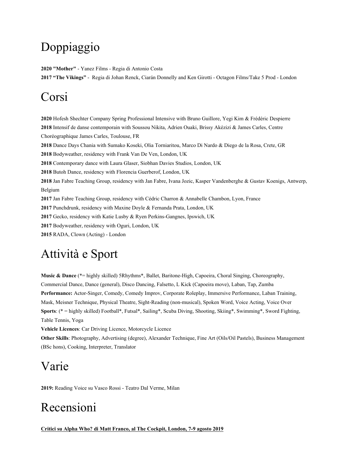## **Doppiaggio**

**2020 "Mother" - Yanez Films - Regia di Antonio Costa**

2017 "The Vikings" - Regia di Johan Renck, Ciarán Donnelly and Ken Girotti - Octagon Films/Take 5 Prod - London

# **Corsi**

**Hofesh Shechter Company Spring Professional Intensive with Bruno Guillore, Yegi Kim & Frédéric Despierre Intensif de danse contemporain with Soussou Nikita, Adrien Ouaki, Brissy Akézizi & James Carles, Centre Choréographique James Carles, Toulouse, FR** 2018 Dance Days Chania with Sumako Koseki, Olia Torniaritou, Marco Di Nardo & Diego de la Rosa, Crete, GR  **Bodyweather, residency with Frank Van De Ven, London, UK Contemporary dance with Laura Glaser, Siobhan Davies Studios, London, UK Butoh Dance, residency with Florencia Guerberof, London, UK** 2018 Jan Fabre Teaching Group, residency with Jan Fabre, Ivana Jozic, Kasper Vandenberghe & Gustav Koenigs, Antwerp, **Belgium Jan Fabre Teaching Group, residency with Cédric Charron & Annabelle Chambon, Lyon, France Punchdrunk, residency with Maxine Doyle & Fernanda Prata, London, UK Gecko, residency with Katie Lusby & Ryen Perkins-Gangnes, Ipswich, UK Bodyweather, residency with Oguri, London, UK RADA, Clown (Acting) - London**

### **Attività e Sport**

**Music & Dance (\*= highly skilled) 5Rhythms\*, Ballet, Baritone-High, Capoeira, Choral Singing, Choreography, Commercial Dance, Dance (general), Disco Dancing, Falsetto, L Kick (Capoeira move), Laban, Tap, Zumba Performance: Actor-Singer, Comedy, Comedy Improv, Corporate Roleplay, Immersive Performance, Laban Training, Mask, Meisner Technique, Physical Theatre, Sight-Reading (non-musical), Spoken Word, Voice Acting, Voice Over** Sports: (\* = highly skilled) Football\*, Futsal\*, Sailing\*, Scuba Diving, Shooting, Skiing\*, Swimming\*, Sword Fighting, **Table Tennis, Yoga**

**Vehicle Licences: Car Driving Licence, Motorcycle Licence**

**Other Skills: Photography, Advertising (degree), Alexander Technique, Fine Art (Oils/Oil Pastels), Business Management (BSc hons), Cooking, Interpreter, Translator**

### **Varie**

**2019: Reading Voice su Vasco Rossi - Teatro Dal Verme, Milan**

### **Recensioni**

**Critici su Alpha Who? di Matt Franco, al The Cockpit, London, 7-9 agosto 2019**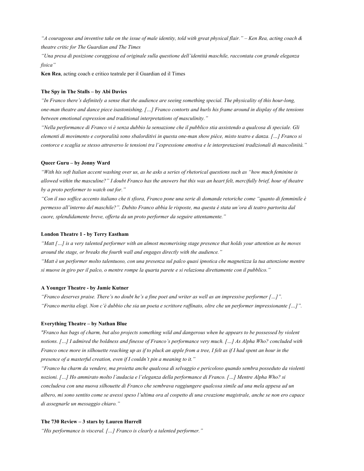"A courageous and inventive take on the issue of male identity, told with great physical flair." – Ken Rea, acting coach  $\&$ *theatre critic for The Guardian and The Times*

*"Una presa di posizione coraggiosa ed originale sulla questione dell'identità maschile, raccontata con grande eleganza fisica"*

**Ken Rea, acting coach e critico teatrale per il Guardian ed il Times**

#### **The Spy in The Stalls – by Abi Davies**

"In Franco there's definitely a sense that the audience are seeing something special. The physicality of this hour-long, one-man theatre and dance piece isastonishing. [...] Franco contorts and hurls his frame around in display of the tensions *between emotional expression and traditional interpretations of masculinity."*

"Nella performance di Franco vi è senza dubbio la sensazione che il pubblico stia assistendo a qualcosa di speciale. Gli elementi di movimento e corporalità sono sbalorditivi in questa one-man show pièce, misto teatro e danza. [...] Franco si contorce e scaglia se stesso attraverso le tensioni tra l'espressione emotiva e le interpretazioni tradizionali di mascolinità."

#### **Queer Guru – by Jonny Ward**

"With his soft Italian accent washing over us, as he asks a series of rhetorical questions such as "how much feminine is allowed within the masculine?" I doubt Franco has the answers but this was an heart felt, mercifully brief, hour of theatre *by a proto performer to watch out for."*

"Con il suo soffice accento italiano che ti sfiora, Franco pone una serie di domande retoriche come "quanto di femminile è permesso all'interno del maschile?". Dubito Franco abbia le risposte, ma questa è stata un'ora di teatro partorita dal *cuore, splendidamente breve, offerta da un proto performer da seguire attentamente."*

#### **London Theatre 1 - by Terry Eastham**

"Matt [...] is a very talented performer with an almost mesmerising stage presence that holds your attention as he moves *around the stage, or breaks the fourth wall and engages directly with the audience."*

"Matt è un performer molto talentuoso, con una presenza sul palco quasi ipnotica che magnetizza la tua attenzione mentre si muove in giro per il palco, o mentre rompe la quarta parete e si relaziona direttamente con il pubblico."

#### **A Younger Theatre - by Jamie Kutner**

"Franco deserves praise. There's no doubt he's a fine poet and writer as well as an impressive performer  $[...]$ . "Franco merita elogi. Non c'è dubbio che sia un poeta e scrittore raffinato, oltre che un performer impressionante [...]".

#### **Everything Theatre – by Nathan Blue**

"Franco has bags of charm, but also projects something wild and dangerous when he appears to be possessed by violent notions. [...] I admired the boldness and finesse of Franco's performance very much. [...] As Alpha Who? concluded with Franco once more in silhouette reaching up as if to pluck an apple from a tree, I felt as if I had spent an hour in the *presence of a masterful creation, even if I couldn't pin a meaning to it."*

"Franco ha charm da vendere, ma proietta anche qualcosa di selvaggio e pericoloso quando sembra posseduto da violenti nozioni. [...] Ho ammirato molto l'audacia e l'eleganza della performance di Franco. [...] Mentre Alpha Who? si concludeva con una nuova silhouette di Franco che sembrava raggiungere qualcosa simile ad una mela appesa ad un albero, mi sono sentito come se avessi speso l'ultima ora al cospetto di una creazione magistrale, anche se non ero capace *di assegnarle un messaggio chiaro."*

#### **The 730 Review – 3 stars by Lauren Hurrell**

*"His performance is visceral. […] Franco is clearly a talented performer."*